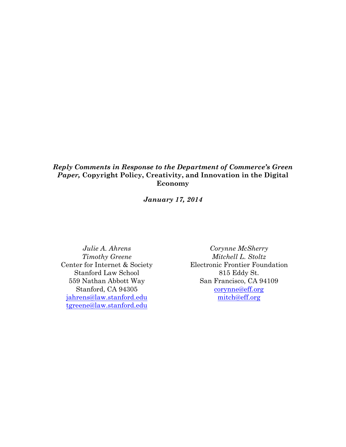## *Reply Comments in Response to the Department of Commerce's Green Paper,* **Copyright Policy, Creativity, and Innovation in the Digital Economy**

*January 17, 2014*

*Julie A. Ahrens Timothy Greene* Center for Internet & Society Stanford Law School 559 Nathan Abbott Way Stanford, CA 94305 jahrens@law.stanford.edu tgreene@law.stanford.edu

*Corynne McSherry Mitchell L. Stoltz* Electronic Frontier Foundation 815 Eddy St. San Francisco, CA 94109 corynne@eff.org mitch@eff.org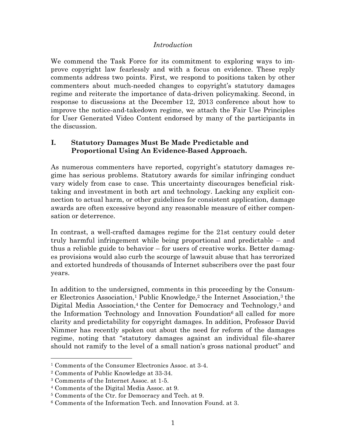### *Introduction*

We commend the Task Force for its commitment to exploring ways to improve copyright law fearlessly and with a focus on evidence. These reply comments address two points. First, we respond to positions taken by other commenters about much-needed changes to copyright's statutory damages regime and reiterate the importance of data-driven policymaking. Second, in response to discussions at the December 12, 2013 conference about how to improve the notice-and-takedown regime, we attach the Fair Use Principles for User Generated Video Content endorsed by many of the participants in the discussion.

## **I. Statutory Damages Must Be Made Predictable and Proportional Using An Evidence-Based Approach.**

As numerous commenters have reported, copyright's statutory damages regime has serious problems. Statutory awards for similar infringing conduct vary widely from case to case. This uncertainty discourages beneficial risktaking and investment in both art and technology. Lacking any explicit connection to actual harm, or other guidelines for consistent application, damage awards are often excessive beyond any reasonable measure of either compensation or deterrence.

In contrast, a well-crafted damages regime for the 21st century could deter truly harmful infringement while being proportional and predictable – and thus a reliable guide to behavior – for users of creative works. Better damages provisions would also curb the scourge of lawsuit abuse that has terrorized and extorted hundreds of thousands of Internet subscribers over the past four years.

In addition to the undersigned, comments in this proceeding by the Consumer Electronics Association,<sup>1</sup> Public Knowledge,<sup>2</sup> the Internet Association,<sup>3</sup> the Digital Media Association,<sup>4</sup> the Center for Democracy and Technology,<sup>5</sup> and the Information Technology and Innovation Foundation<sup>6</sup> all called for more clarity and predictability for copyright damages. In addition, Professor David Nimmer has recently spoken out about the need for reform of the damages regime, noting that "statutory damages against an individual file-sharer should not ramify to the level of a small nation's gross national product" and

 <sup>1</sup> Comments of the Consumer Electronics Assoc. at 3-4.

<sup>2</sup> Comments of Public Knowledge at 33-34.

<sup>3</sup> Comments of the Internet Assoc. at 1-5.

<sup>4</sup> Comments of the Digital Media Assoc. at 9.

<sup>5</sup> Comments of the Ctr. for Democracy and Tech. at 9.

<sup>6</sup> Comments of the Information Tech. and Innovation Found. at 3.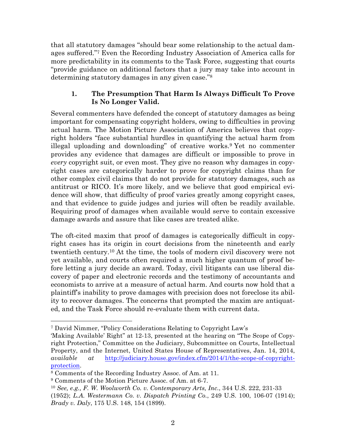that all statutory damages "should bear some relationship to the actual damages suffered."7 Even the Recording Industry Association of America calls for more predictability in its comments to the Task Force, suggesting that courts "provide guidance on additional factors that a jury may take into account in determining statutory damages in any given case."8

## **1. The Presumption That Harm Is Always Difficult To Prove Is No Longer Valid.**

Several commenters have defended the concept of statutory damages as being important for compensating copyright holders, owing to difficulties in proving actual harm. The Motion Picture Association of America believes that copyright holders "face substantial hurdles in quantifying the actual harm from illegal uploading and downloading" of creative works.9 Yet no commenter provides any evidence that damages are difficult or impossible to prove in *every* copyright suit, or even most. They give no reason why damages in copyright cases are categorically harder to prove for copyright claims than for other complex civil claims that do not provide for statutory damages, such as antitrust or RICO. It's more likely, and we believe that good empirical evidence will show, that difficulty of proof varies greatly among copyright cases, and that evidence to guide judges and juries will often be readily available. Requiring proof of damages when available would serve to contain excessive damage awards and assure that like cases are treated alike.

The oft-cited maxim that proof of damages is categorically difficult in copyright cases has its origin in court decisions from the nineteenth and early twentieth century.10 At the time, the tools of modern civil discovery were not yet available, and courts often required a much higher quantum of proof before letting a jury decide an award. Today, civil litigants can use liberal discovery of paper and electronic records and the testimony of accountants and economists to arrive at a measure of actual harm. And courts now hold that a plaintiff's inability to prove damages with precision does not foreclose its ability to recover damages. The concerns that prompted the maxim are antiquated, and the Task Force should re-evaluate them with current data.

 <sup>7</sup> David Nimmer, "Policy Considerations Relating to Copyright Law's

<sup>&#</sup>x27;Making Available' Right" at 12-13, presented at the hearing on "The Scope of Copyright Protection," Committee on the Judiciary, Subcommittee on Courts, Intellectual Property, and the Internet, United States House of Representatives, Jan. 14, 2014, *available at* http://judiciary.house.gov/index.cfm/2014/1/the-scope-of-copyrightprotection.

<sup>8</sup> Comments of the Recording Industry Assoc. of Am. at 11.

<sup>9</sup> Comments of the Motion Picture Assoc. of Am. at 6-7.

<sup>10</sup> *See, e.g., F. W. Woolworth Co. v. Contemporary Arts, Inc.*, 344 U.S. 222, 231-33 (1952); *L.A. Westermann Co. v. Dispatch Printing Co.*, 249 U.S. 100, 106-07 (1914); *Brady v. Daly*, 175 U.S. 148, 154 (1899).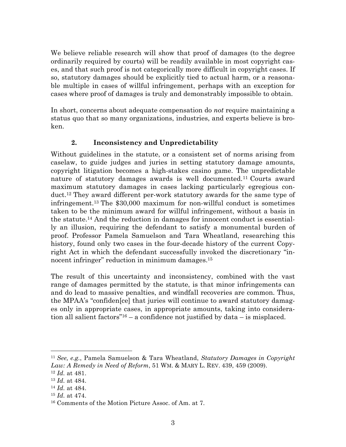We believe reliable research will show that proof of damages (to the degree ordinarily required by courts) will be readily available in most copyright cases, and that such proof is not categorically more difficult in copyright cases. If so, statutory damages should be explicitly tied to actual harm, or a reasonable multiple in cases of willful infringement, perhaps with an exception for cases where proof of damages is truly and demonstrably impossible to obtain.

In short, concerns about adequate compensation do *not* require maintaining a status quo that so many organizations, industries, and experts believe is broken.

# **2. Inconsistency and Unpredictability**

Without guidelines in the statute, or a consistent set of norms arising from caselaw, to guide judges and juries in setting statutory damage amounts, copyright litigation becomes a high-stakes casino game. The unpredictable nature of statutory damages awards is well documented.11 Courts award maximum statutory damages in cases lacking particularly egregious conduct.12 They award different per-work statutory awards for the same type of infringement.13 The \$30,000 maximum for non-willful conduct is sometimes taken to be the minimum award for willful infringement, without a basis in the statute.14 And the reduction in damages for innocent conduct is essentially an illusion, requiring the defendant to satisfy a monumental burden of proof. Professor Pamela Samuelson and Tara Wheatland, researching this history, found only two cases in the four-decade history of the current Copyright Act in which the defendant successfully invoked the discretionary "innocent infringer" reduction in minimum damages.15

The result of this uncertainty and inconsistency, combined with the vast range of damages permitted by the statute, is that minor infringements can and do lead to massive penalties, and windfall recoveries are common. Thus, the MPAA's "confiden[ce] that juries will continue to award statutory damages only in appropriate cases, in appropriate amounts, taking into consideration all salient factors"<sup>16</sup> – a confidence not justified by data – is misplaced.

 <sup>11</sup> *See, e.g.*, Pamela Samuelson & Tara Wheatland, *Statutory Damages in Copyright Law: A Remedy in Need of Reform*, 51 WM. & MARY L. REV. 439, 459 (2009).

<sup>12</sup> *Id.* at 481.

<sup>13</sup> *Id.* at 484.

<sup>14</sup> *Id.* at 484.

<sup>15</sup> *Id.* at 474.

<sup>16</sup> Comments of the Motion Picture Assoc. of Am. at 7.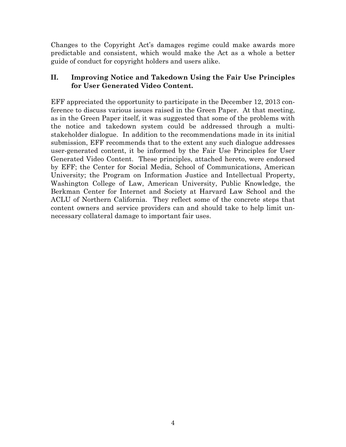Changes to the Copyright Act's damages regime could make awards more predictable and consistent, which would make the Act as a whole a better guide of conduct for copyright holders and users alike.

# **II. Improving Notice and Takedown Using the Fair Use Principles for User Generated Video Content.**

EFF appreciated the opportunity to participate in the December 12, 2013 conference to discuss various issues raised in the Green Paper. At that meeting, as in the Green Paper itself, it was suggested that some of the problems with the notice and takedown system could be addressed through a multistakeholder dialogue. In addition to the recommendations made in its initial submission, EFF recommends that to the extent any such dialogue addresses user-generated content, it be informed by the Fair Use Principles for User Generated Video Content. These principles, attached hereto, were endorsed by EFF; the Center for Social Media, School of Communications, American University; the Program on Information Justice and Intellectual Property, Washington College of Law, American University, Public Knowledge, the Berkman Center for Internet and Society at Harvard Law School and the ACLU of Northern California. They reflect some of the concrete steps that content owners and service providers can and should take to help limit unnecessary collateral damage to important fair uses.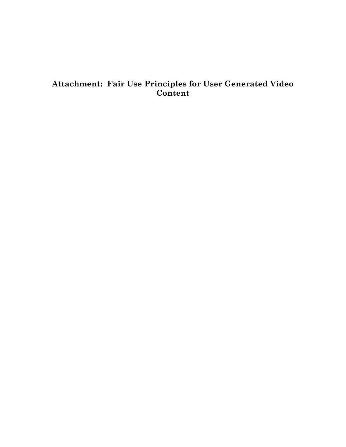# **Attachment: Fair Use Principles for User Generated Video Content**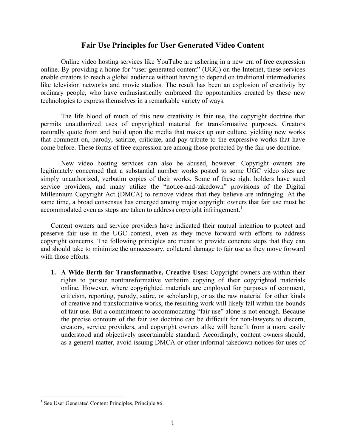### **Fair Use Principles for User Generated Video Content**

Online video hosting services like YouTube are ushering in a new era of free expression online. By providing a home for "user-generated content" (UGC) on the Internet, these services enable creators to reach a global audience without having to depend on traditional intermediaries like television networks and movie studios. The result has been an explosion of creativity by ordinary people, who have enthusiastically embraced the opportunities created by these new technologies to express themselves in a remarkable variety of ways.

The life blood of much of this new creativity is fair use, the copyright doctrine that permits unauthorized uses of copyrighted material for transformative purposes. Creators naturally quote from and build upon the media that makes up our culture, yielding new works that comment on, parody, satirize, criticize, and pay tribute to the expressive works that have come before. These forms of free expression are among those protected by the fair use doctrine.

New video hosting services can also be abused, however. Copyright owners are legitimately concerned that a substantial number works posted to some UGC video sites are simply unauthorized, verbatim copies of their works. Some of these right holders have sued service providers, and many utilize the "notice-and-takedown" provisions of the Digital Millennium Copyright Act (DMCA) to remove videos that they believe are infringing. At the same time, a broad consensus has emerged among major copyright owners that fair use must be accommodated even as steps are taken to address copyright infringement.<sup>1</sup>

Content owners and service providers have indicated their mutual intention to protect and preserve fair use in the UGC context, even as they move forward with efforts to address copyright concerns. The following principles are meant to provide concrete steps that they can and should take to minimize the unnecessary, collateral damage to fair use as they move forward with those efforts.

**1. A Wide Berth for Transformative, Creative Uses:** Copyright owners are within their rights to pursue nontransformative verbatim copying of their copyrighted materials online. However, where copyrighted materials are employed for purposes of comment, criticism, reporting, parody, satire, or scholarship, or as the raw material for other kinds of creative and transformative works, the resulting work will likely fall within the bounds of fair use. But a commitment to accommodating "fair use" alone is not enough. Because the precise contours of the fair use doctrine can be difficult for non-lawyers to discern, creators, service providers, and copyright owners alike will benefit from a more easily understood and objectively ascertainable standard. Accordingly, content owners should, as a general matter, avoid issuing DMCA or other informal takedown notices for uses of

 $<sup>1</sup>$  See User Generated Content Principles, Principle #6.</sup>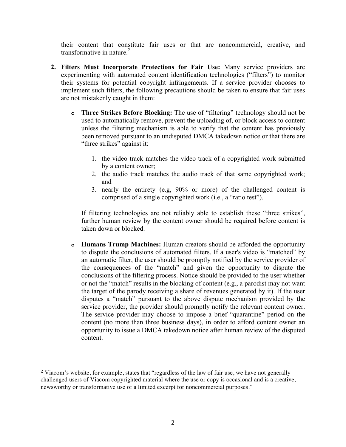their content that constitute fair uses or that are noncommercial, creative, and transformative in nature.<sup>2</sup>

- **2. Filters Must Incorporate Protections for Fair Use:** Many service providers are experimenting with automated content identification technologies ("filters") to monitor their systems for potential copyright infringements. If a service provider chooses to implement such filters, the following precautions should be taken to ensure that fair uses are not mistakenly caught in them:
	- **o Three Strikes Before Blocking:** The use of "filtering" technology should not be used to automatically remove, prevent the uploading of, or block access to content unless the filtering mechanism is able to verify that the content has previously been removed pursuant to an undisputed DMCA takedown notice or that there are "three strikes" against it:
		- 1. the video track matches the video track of a copyrighted work submitted by a content owner;
		- 2. the audio track matches the audio track of that same copyrighted work; and
		- 3. nearly the entirety (e.g, 90% or more) of the challenged content is comprised of a single copyrighted work (i.e., a "ratio test").

If filtering technologies are not reliably able to establish these "three strikes", further human review by the content owner should be required before content is taken down or blocked.

**o Humans Trump Machines:** Human creators should be afforded the opportunity to dispute the conclusions of automated filters. If a user's video is "matched" by an automatic filter, the user should be promptly notified by the service provider of the consequences of the "match" and given the opportunity to dispute the conclusions of the filtering process. Notice should be provided to the user whether or not the "match" results in the blocking of content (e.g., a parodist may not want the target of the parody receiving a share of revenues generated by it). If the user disputes a "match" pursuant to the above dispute mechanism provided by the service provider, the provider should promptly notify the relevant content owner. The service provider may choose to impose a brief "quarantine" period on the content (no more than three business days), in order to afford content owner an opportunity to issue a DMCA takedown notice after human review of the disputed content.

 

<sup>2</sup> Viacom's website, for example, states that "regardless of the law of fair use, we have not generally challenged users of Viacom copyrighted material where the use or copy is occasional and is a creative, newsworthy or transformative use of a limited excerpt for noncommercial purposes."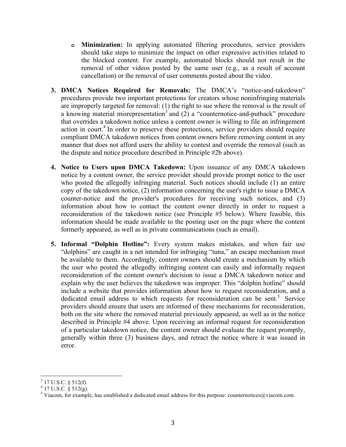- **o Minimization:** In applying automated filtering procedures, service providers should take steps to minimize the impact on other expressive activities related to the blocked content. For example, automated blocks should not result in the removal of other videos posted by the same user (e.g., as a result of account cancellation) or the removal of user comments posted about the video.
- **3. DMCA Notices Required for Removals:** The DMCA's "notice-and-takedown" procedures provide two important protections for creators whose noninfringing materials are improperly targeted for removal: (1) the right to sue where the removal is the result of a knowing material misrepresentation<sup>3</sup> and  $(2)$  a "counternotice-and-putback" procedure that overrides a takedown notice unless a content owner is willing to file an infringement action in court.<sup>4</sup> In order to preserve these protections, service providers should require compliant DMCA takedown notices from content owners before removing content in any manner that does not afford users the ability to contest and override the removal (such as the dispute and notice procedure described in Principle #2b above).
- **4. Notice to Users upon DMCA Takedown:** Upon issuance of any DMCA takedown notice by a content owner, the service provider should provide prompt notice to the user who posted the allegedly infringing material. Such notices should include (1) an entire copy of the takedown notice, (2) information concerning the user's right to issue a DMCA counter-notice and the provider's procedures for receiving such notices, and (3) information about how to contact the content owner directly in order to request a reconsideration of the takedown notice (see Principle #5 below). Where feasible, this information should be made available to the posting user on the page where the content formerly appeared, as well as in private communications (such as email).
- **5. Informal "Dolphin Hotline":** Every system makes mistakes, and when fair use "dolphins" are caught in a net intended for infringing "tuna," an escape mechanism must be available to them. Accordingly, content owners should create a mechanism by which the user who posted the allegedly infringing content can easily and informally request reconsideration of the content owner's decision to issue a DMCA takedown notice and explain why the user believes the takedown was improper. This "dolphin hotline" should include a website that provides information about how to request reconsideration, and a dedicated email address to which requests for reconsideration can be sent.<sup>5</sup> Service providers should ensure that users are informed of these mechanisms for reconsideration, both on the site where the removed material previously appeared, as well as in the notice described in Principle #4 above. Upon receiving an informal request for reconsideration of a particular takedown notice, the content owner should evaluate the request promptly, generally within three (3) business days, and retract the notice where it was issued in error.

 <sup>3</sup> 17 U.S.C. § 512(f).

 $4$  17 U.S.C. § 512(g).

<sup>&</sup>lt;sup>5</sup> Viacom, for example, has established a dedicated email address for this purpose: counternotices@viacom.com.